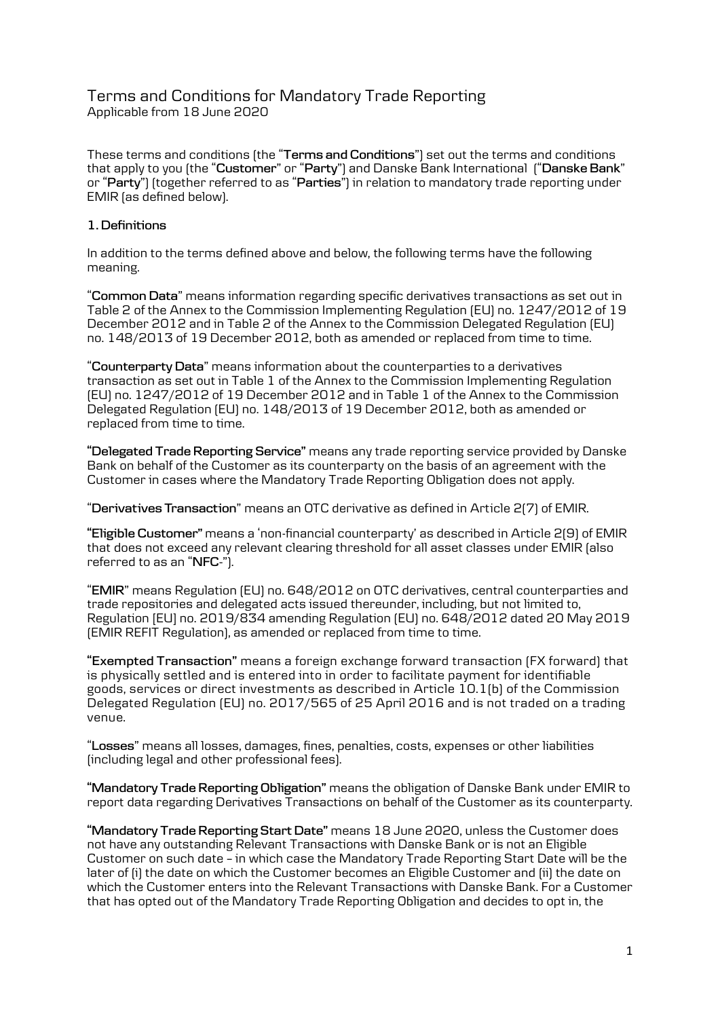# Terms and Conditions for Mandatory Trade Reporting Applicable from 18 June 2020

These terms and conditions (the "**Terms and Conditions**") set out the terms and conditions that apply to you (the "**Customer**" or "**Party**") and Danske Bank International ("**Danske Bank**" or "**Party**") (together referred to as "**Parties**") in relation to mandatory trade reporting under EMIR (as defined below).

## **1. Definitions**

In addition to the terms defined above and below, the following terms have the following meaning.

"**Common Data**" means information regarding specific derivatives transactions as set out in Table 2 of the Annex to the Commission Implementing Regulation (EU) no. 1247/2012 of 19 December 2012 and in Table 2 of the Annex to the Commission Delegated Regulation (EU) no. 148/2013 of 19 December 2012, both as amended or replaced from time to time.

"**Counterparty Data**" means information about the counterparties to a derivatives transaction as set out in Table 1 of the Annex to the Commission Implementing Regulation (EU) no. 1247/2012 of 19 December 2012 and in Table 1 of the Annex to the Commission Delegated Regulation (EU) no. 148/2013 of 19 December 2012, both as amended or replaced from time to time.

**"Delegated Trade Reporting Service"** means any trade reporting service provided by Danske Bank on behalf of the Customer as its counterparty on the basis of an agreement with the Customer in cases where the Mandatory Trade Reporting Obligation does not apply.

"**Derivatives Transaction**" means an OTC derivative as defined in Article 2(7) of EMIR.

**"Eligible Customer"** means a 'non-financial counterparty' as described in Article 2(9) of EMIR that does not exceed any relevant clearing threshold for all asset classes under EMIR (also referred to as an "**NFC-**").

"**EMIR**" means Regulation (EU) no. 648/2012 on OTC derivatives, central counterparties and trade repositories and delegated acts issued thereunder, including, but not limited to, Regulation [EU] no. 2019/834 amending Regulation (EU) no. 648/2012 dated 20 May 2019 (EMIR REFIT Regulation), as amended or replaced from time to time.

**"Exempted Transaction"** means a foreign exchange forward transaction (FX forward) that is physically settled and is entered into in order to facilitate payment for identifiable goods, services or direct investments as described in Article 10.1(b) of the Commission Delegated Regulation (EU) no. 2017/565 of 25 April 2016 and is not traded on a trading venue.

"**Losses**" means all losses, damages, fines, penalties, costs, expenses or other liabilities (including legal and other professional fees).

**"Mandatory Trade Reporting Obligation"** means the obligation of Danske Bank under EMIR to report data regarding Derivatives Transactions on behalf of the Customer as its counterparty.

**"Mandatory Trade Reporting Start Date"** means 18 June 2020, unless the Customer does not have any outstanding Relevant Transactions with Danske Bank or is not an Eligible Customer on such date – in which case the Mandatory Trade Reporting Start Date will be the later of (i) the date on which the Customer becomes an Eligible Customer and (ii) the date on which the Customer enters into the Relevant Transactions with Danske Bank. For a Customer that has opted out of the Mandatory Trade Reporting Obligation and decides to opt in, the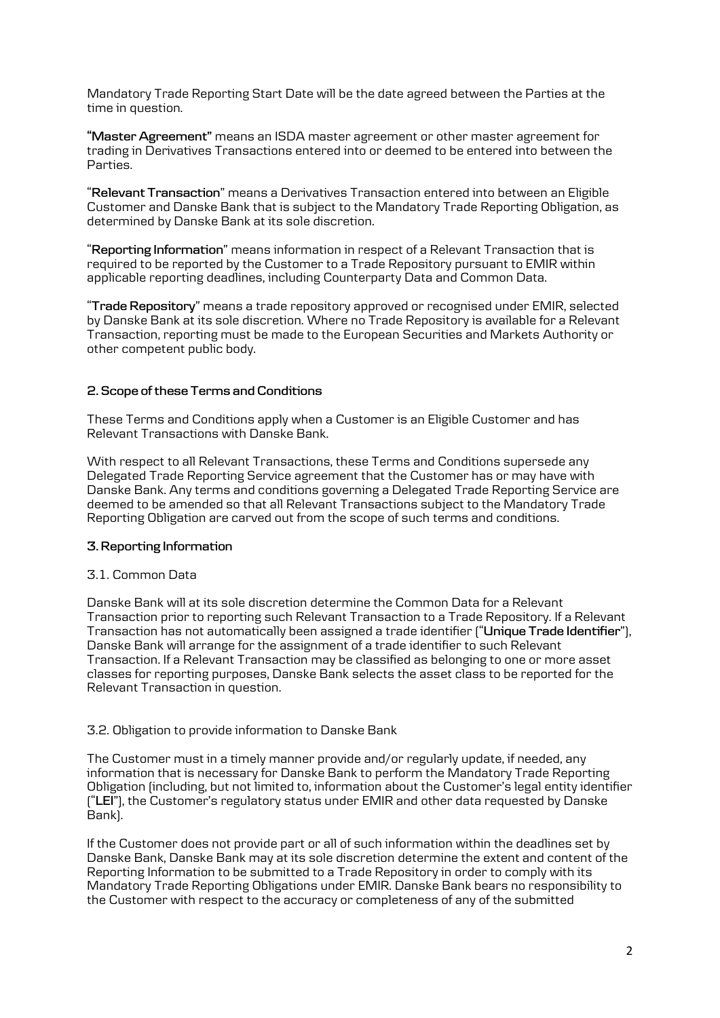Mandatory Trade Reporting Start Date will be the date agreed between the Parties at the time in question.

**"Master Agreement"** means an ISDA master agreement or other master agreement for trading in Derivatives Transactions entered into or deemed to be entered into between the Parties.

"**Relevant Transaction**" means a Derivatives Transaction entered into between an Eligible Customer and Danske Bank that is subject to the Mandatory Trade Reporting Obligation, as determined by Danske Bank at its sole discretion.

"**Reporting Information**" means information in respect of a Relevant Transaction that is required to be reported by the Customer to a Trade Repository pursuant to EMIR within applicable reporting deadlines, including Counterparty Data and Common Data.

"**Trade Repository**" means a trade repository approved or recognised under EMIR, selected by Danske Bank at its sole discretion. Where no Trade Repository is available for a Relevant Transaction, reporting must be made to the European Securities and Markets Authority or other competent public body.

### **2. Scope of these Terms and Conditions**

These Terms and Conditions apply when a Customer is an Eligible Customer and has Relevant Transactions with Danske Bank.

With respect to all Relevant Transactions, these Terms and Conditions supersede any Delegated Trade Reporting Service agreement that the Customer has or may have with Danske Bank. Any terms and conditions governing a Delegated Trade Reporting Service are deemed to be amended so that all Relevant Transactions subject to the Mandatory Trade Reporting Obligation are carved out from the scope of such terms and conditions.

### **3. Reporting Information**

## 3.1. Common Data

Danske Bank will at its sole discretion determine the Common Data for a Relevant Transaction prior to reporting such Relevant Transaction to a Trade Repository. If a Relevant Transaction has not automatically been assigned a trade identifier ("**Unique Trade Identifier**"), Danske Bank will arrange for the assignment of a trade identifier to such Relevant Transaction. If a Relevant Transaction may be classified as belonging to one or more asset classes for reporting purposes, Danske Bank selects the asset class to be reported for the Relevant Transaction in question.

### 3.2. Obligation to provide information to Danske Bank

The Customer must in a timely manner provide and/or regularly update, if needed, any information that is necessary for Danske Bank to perform the Mandatory Trade Reporting Obligation (including, but not limited to, information about the Customer's legal entity identifier ("**LEI**"), the Customer's regulatory status under EMIR and other data requested by Danske Bank).

If the Customer does not provide part or all of such information within the deadlines set by Danske Bank, Danske Bank may at its sole discretion determine the extent and content of the Reporting Information to be submitted to a Trade Repository in order to comply with its Mandatory Trade Reporting Obligations under EMIR. Danske Bank bears no responsibility to the Customer with respect to the accuracy or completeness of any of the submitted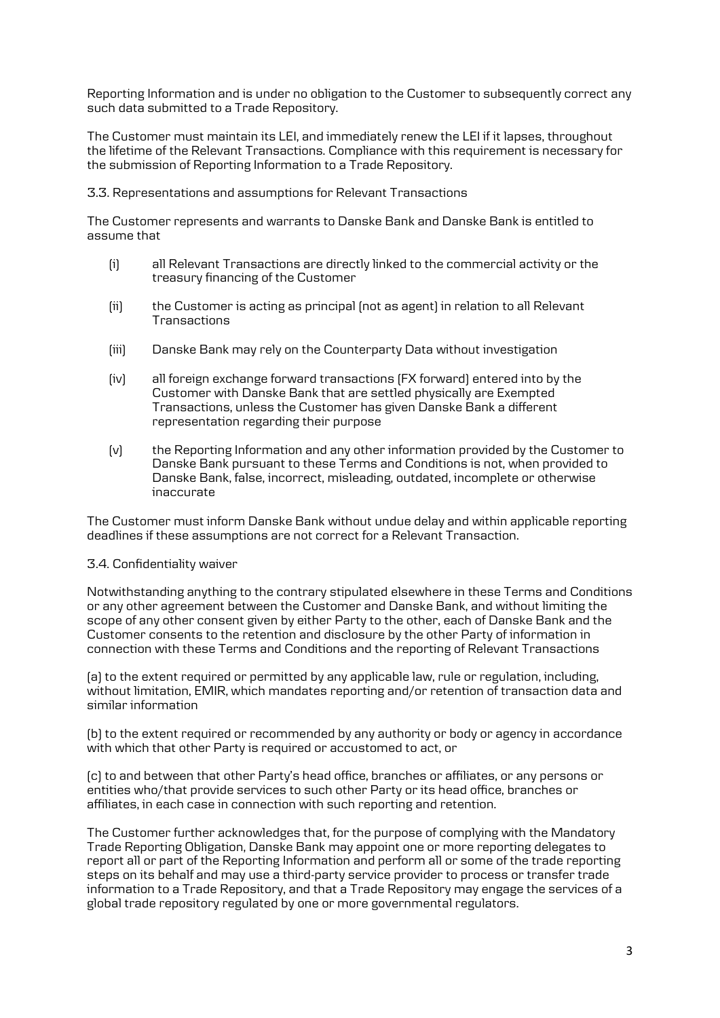Reporting Information and is under no obligation to the Customer to subsequently correct any such data submitted to a Trade Repository.

The Customer must maintain its LEI, and immediately renew the LEI if it lapses, throughout the lifetime of the Relevant Transactions. Compliance with this requirement is necessary for the submission of Reporting Information to a Trade Repository.

3.3. Representations and assumptions for Relevant Transactions

The Customer represents and warrants to Danske Bank and Danske Bank is entitled to assume that

- (i) all Relevant Transactions are directly linked to the commercial activity or the treasury financing of the Customer
- (ii) the Customer is acting as principal (not as agent) in relation to all Relevant **Transactions**
- (iii) Danske Bank may rely on the Counterparty Data without investigation
- (iv) all foreign exchange forward transactions (FX forward) entered into by the Customer with Danske Bank that are settled physically are Exempted Transactions, unless the Customer has given Danske Bank a different representation regarding their purpose
- (v) the Reporting Information and any other information provided by the Customer to Danske Bank pursuant to these Terms and Conditions is not, when provided to Danske Bank, false, incorrect, misleading, outdated, incomplete or otherwise inaccurate

The Customer must inform Danske Bank without undue delay and within applicable reporting deadlines if these assumptions are not correct for a Relevant Transaction.

### 3.4. Confidentiality waiver

Notwithstanding anything to the contrary stipulated elsewhere in these Terms and Conditions or any other agreement between the Customer and Danske Bank, and without limiting the scope of any other consent given by either Party to the other, each of Danske Bank and the Customer consents to the retention and disclosure by the other Party of information in connection with these Terms and Conditions and the reporting of Relevant Transactions

(a) to the extent required or permitted by any applicable law, rule or regulation, including, without limitation, EMIR, which mandates reporting and/or retention of transaction data and similar information

(b) to the extent required or recommended by any authority or body or agency in accordance with which that other Party is required or accustomed to act, or

(c) to and between that other Party's head office, branches or affiliates, or any persons or entities who/that provide services to such other Party or its head office, branches or affiliates, in each case in connection with such reporting and retention.

The Customer further acknowledges that, for the purpose of complying with the Mandatory Trade Reporting Obligation, Danske Bank may appoint one or more reporting delegates to report all or part of the Reporting Information and perform all or some of the trade reporting steps on its behalf and may use a third-party service provider to process or transfer trade information to a Trade Repository, and that a Trade Repository may engage the services of a global trade repository regulated by one or more governmental regulators.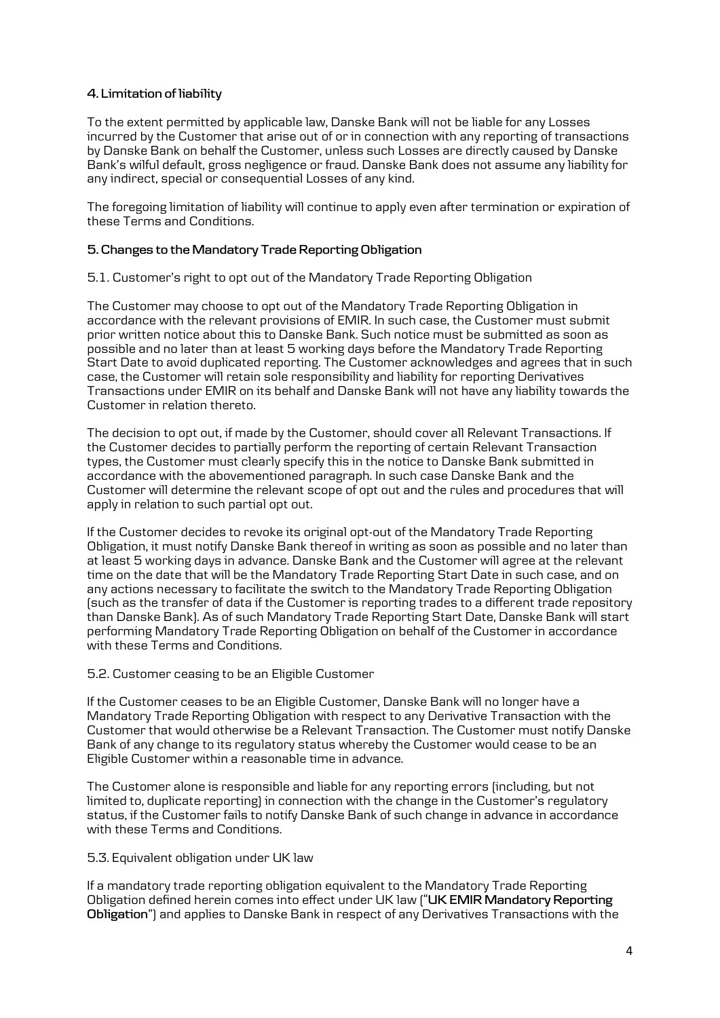### **4. Limitation of liability**

To the extent permitted by applicable law, Danske Bank will not be liable for any Losses incurred by the Customer that arise out of or in connection with any reporting of transactions by Danske Bank on behalf the Customer, unless such Losses are directly caused by Danske Bank's wilful default, gross negligence or fraud. Danske Bank does not assume any liability for any indirect, special or consequential Losses of any kind.

The foregoing limitation of liability will continue to apply even after termination or expiration of these Terms and Conditions.

### **5. Changes to the Mandatory Trade Reporting Obligation**

5.1. Customer's right to opt out of the Mandatory Trade Reporting Obligation

The Customer may choose to opt out of the Mandatory Trade Reporting Obligation in accordance with the relevant provisions of EMIR. In such case, the Customer must submit prior written notice about this to Danske Bank. Such notice must be submitted as soon as possible and no later than at least 5 working days before the Mandatory Trade Reporting Start Date to avoid duplicated reporting. The Customer acknowledges and agrees that in such case, the Customer will retain sole responsibility and liability for reporting Derivatives Transactions under EMIR on its behalf and Danske Bank will not have any liability towards the Customer in relation thereto.

The decision to opt out, if made by the Customer, should cover all Relevant Transactions. If the Customer decides to partially perform the reporting of certain Relevant Transaction types, the Customer must clearly specify this in the notice to Danske Bank submitted in accordance with the abovementioned paragraph. In such case Danske Bank and the Customer will determine the relevant scope of opt out and the rules and procedures that will apply in relation to such partial opt out.

If the Customer decides to revoke its original opt-out of the Mandatory Trade Reporting Obligation, it must notify Danske Bank thereof in writing as soon as possible and no later than at least 5 working days in advance. Danske Bank and the Customer will agree at the relevant time on the date that will be the Mandatory Trade Reporting Start Date in such case, and on any actions necessary to facilitate the switch to the Mandatory Trade Reporting Obligation (such as the transfer of data if the Customer is reporting trades to a different trade repository than Danske Bank). As of such Mandatory Trade Reporting Start Date, Danske Bank will start performing Mandatory Trade Reporting Obligation on behalf of the Customer in accordance with these Terms and Conditions.

5.2. Customer ceasing to be an Eligible Customer

If the Customer ceases to be an Eligible Customer, Danske Bank will no longer have a Mandatory Trade Reporting Obligation with respect to any Derivative Transaction with the Customer that would otherwise be a Relevant Transaction. The Customer must notify Danske Bank of any change to its regulatory status whereby the Customer would cease to be an Eligible Customer within a reasonable time in advance.

The Customer alone is responsible and liable for any reporting errors (including, but not limited to, duplicate reporting) in connection with the change in the Customer's regulatory status, if the Customer fails to notify Danske Bank of such change in advance in accordance with these Terms and Conditions.

5.3. Equivalent obligation under UK law

If a mandatory trade reporting obligation equivalent to the Mandatory Trade Reporting Obligation defined herein comes into effect under UK law ("**UK EMIR Mandatory Reporting Obligation**") and applies to Danske Bank in respect of any Derivatives Transactions with the